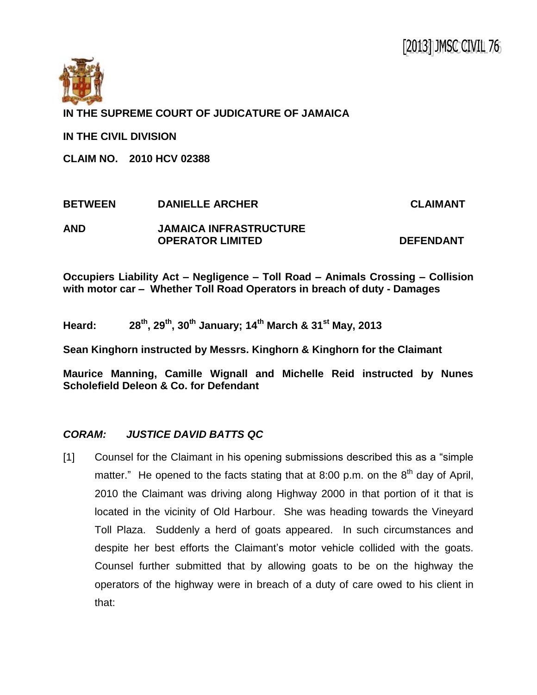

## **IN THE SUPREME COURT OF JUDICATURE OF JAMAICA**

**IN THE CIVIL DIVISION**

**CLAIM NO. 2010 HCV 02388**

| <b>BETWEEN</b> | <b>DANIELLE ARCHER</b>        | <b>CLAIMANT</b>  |
|----------------|-------------------------------|------------------|
| <b>AND</b>     | <b>JAMAICA INFRASTRUCTURE</b> |                  |
|                | <b>OPERATOR LIMITED</b>       | <b>DEFENDANT</b> |

**Occupiers Liability Act – Negligence – Toll Road – Animals Crossing – Collision with motor car – Whether Toll Road Operators in breach of duty - Damages**

**Heard: 28th, 29th, 30th January; 14th March & 31st May, 2013**

**Sean Kinghorn instructed by Messrs. Kinghorn & Kinghorn for the Claimant**

**Maurice Manning, Camille Wignall and Michelle Reid instructed by Nunes Scholefield Deleon & Co. for Defendant**

## *CORAM: JUSTICE DAVID BATTS QC*

[1] Counsel for the Claimant in his opening submissions described this as a "simple matter." He opened to the facts stating that at 8:00 p.m. on the  $8<sup>th</sup>$  day of April, 2010 the Claimant was driving along Highway 2000 in that portion of it that is located in the vicinity of Old Harbour. She was heading towards the Vineyard Toll Plaza. Suddenly a herd of goats appeared. In such circumstances and despite her best efforts the Claimant's motor vehicle collided with the goats. Counsel further submitted that by allowing goats to be on the highway the operators of the highway were in breach of a duty of care owed to his client in that: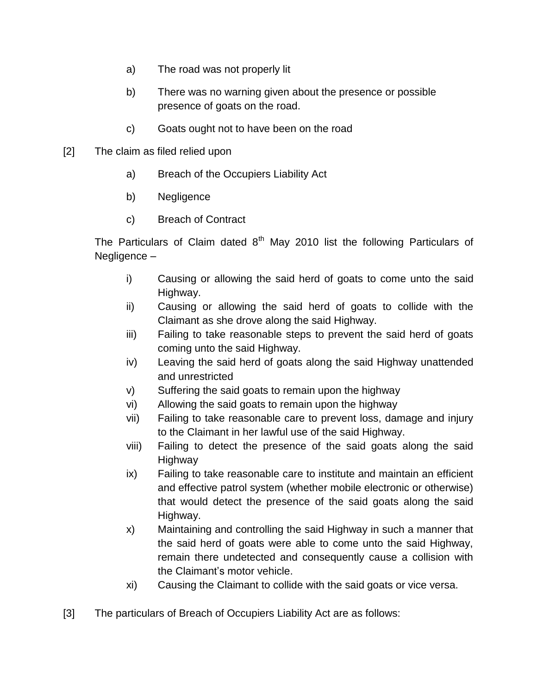- a) The road was not properly lit
- b) There was no warning given about the presence or possible presence of goats on the road.
- c) Goats ought not to have been on the road
- [2] The claim as filed relied upon
	- a) Breach of the Occupiers Liability Act
	- b) Negligence
	- c) Breach of Contract

The Particulars of Claim dated  $8<sup>th</sup>$  May 2010 list the following Particulars of Negligence –

- i) Causing or allowing the said herd of goats to come unto the said Highway.
- ii) Causing or allowing the said herd of goats to collide with the Claimant as she drove along the said Highway.
- iii) Failing to take reasonable steps to prevent the said herd of goats coming unto the said Highway.
- iv) Leaving the said herd of goats along the said Highway unattended and unrestricted
- v) Suffering the said goats to remain upon the highway
- vi) Allowing the said goats to remain upon the highway
- vii) Failing to take reasonable care to prevent loss, damage and injury to the Claimant in her lawful use of the said Highway.
- viii) Failing to detect the presence of the said goats along the said **Highway**
- ix) Failing to take reasonable care to institute and maintain an efficient and effective patrol system (whether mobile electronic or otherwise) that would detect the presence of the said goats along the said Highway.
- x) Maintaining and controlling the said Highway in such a manner that the said herd of goats were able to come unto the said Highway, remain there undetected and consequently cause a collision with the Claimant's motor vehicle.
- xi) Causing the Claimant to collide with the said goats or vice versa.
- [3] The particulars of Breach of Occupiers Liability Act are as follows: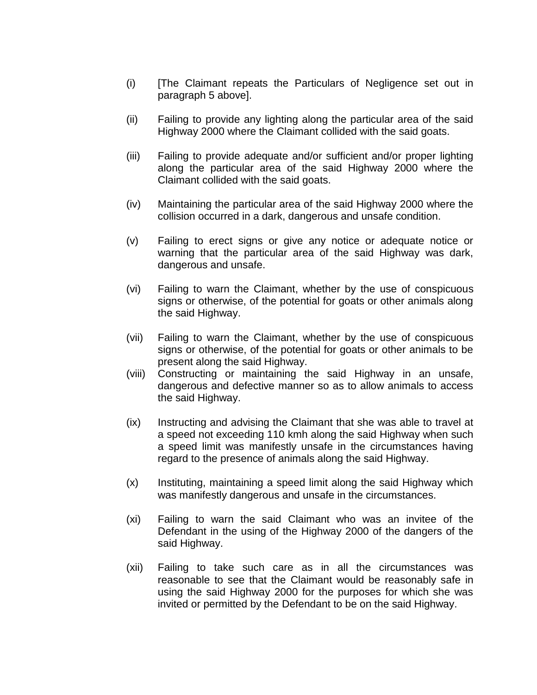- (i) [The Claimant repeats the Particulars of Negligence set out in paragraph 5 above].
- (ii) Failing to provide any lighting along the particular area of the said Highway 2000 where the Claimant collided with the said goats.
- (iii) Failing to provide adequate and/or sufficient and/or proper lighting along the particular area of the said Highway 2000 where the Claimant collided with the said goats.
- (iv) Maintaining the particular area of the said Highway 2000 where the collision occurred in a dark, dangerous and unsafe condition.
- (v) Failing to erect signs or give any notice or adequate notice or warning that the particular area of the said Highway was dark, dangerous and unsafe.
- (vi) Failing to warn the Claimant, whether by the use of conspicuous signs or otherwise, of the potential for goats or other animals along the said Highway.
- (vii) Failing to warn the Claimant, whether by the use of conspicuous signs or otherwise, of the potential for goats or other animals to be present along the said Highway.
- (viii) Constructing or maintaining the said Highway in an unsafe, dangerous and defective manner so as to allow animals to access the said Highway.
- (ix) Instructing and advising the Claimant that she was able to travel at a speed not exceeding 110 kmh along the said Highway when such a speed limit was manifestly unsafe in the circumstances having regard to the presence of animals along the said Highway.
- (x) Instituting, maintaining a speed limit along the said Highway which was manifestly dangerous and unsafe in the circumstances.
- (xi) Failing to warn the said Claimant who was an invitee of the Defendant in the using of the Highway 2000 of the dangers of the said Highway.
- (xii) Failing to take such care as in all the circumstances was reasonable to see that the Claimant would be reasonably safe in using the said Highway 2000 for the purposes for which she was invited or permitted by the Defendant to be on the said Highway.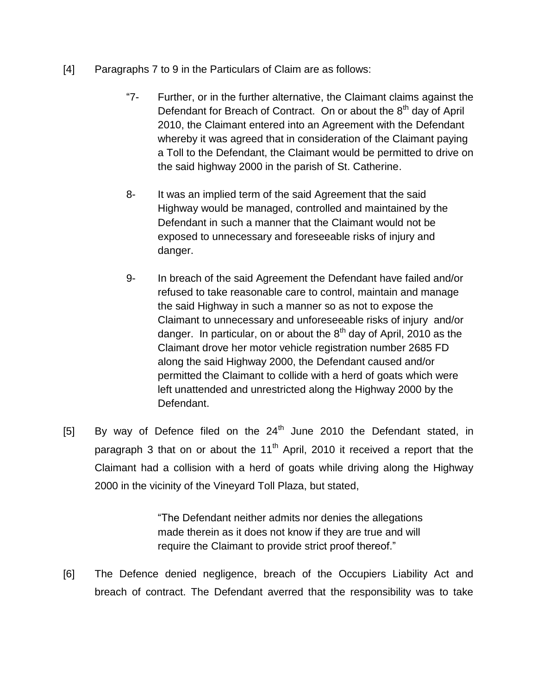- [4] Paragraphs 7 to 9 in the Particulars of Claim are as follows:
	- "7- Further, or in the further alternative, the Claimant claims against the Defendant for Breach of Contract. On or about the 8<sup>th</sup> day of April 2010, the Claimant entered into an Agreement with the Defendant whereby it was agreed that in consideration of the Claimant paying a Toll to the Defendant, the Claimant would be permitted to drive on the said highway 2000 in the parish of St. Catherine.
	- 8- It was an implied term of the said Agreement that the said Highway would be managed, controlled and maintained by the Defendant in such a manner that the Claimant would not be exposed to unnecessary and foreseeable risks of injury and danger.
	- 9- In breach of the said Agreement the Defendant have failed and/or refused to take reasonable care to control, maintain and manage the said Highway in such a manner so as not to expose the Claimant to unnecessary and unforeseeable risks of injury and/or danger. In particular, on or about the  $8<sup>th</sup>$  day of April, 2010 as the Claimant drove her motor vehicle registration number 2685 FD along the said Highway 2000, the Defendant caused and/or permitted the Claimant to collide with a herd of goats which were left unattended and unrestricted along the Highway 2000 by the Defendant.
- [5] By way of Defence filed on the  $24<sup>th</sup>$  June 2010 the Defendant stated, in paragraph 3 that on or about the  $11<sup>th</sup>$  April, 2010 it received a report that the Claimant had a collision with a herd of goats while driving along the Highway 2000 in the vicinity of the Vineyard Toll Plaza, but stated,

"The Defendant neither admits nor denies the allegations made therein as it does not know if they are true and will require the Claimant to provide strict proof thereof."

[6] The Defence denied negligence, breach of the Occupiers Liability Act and breach of contract. The Defendant averred that the responsibility was to take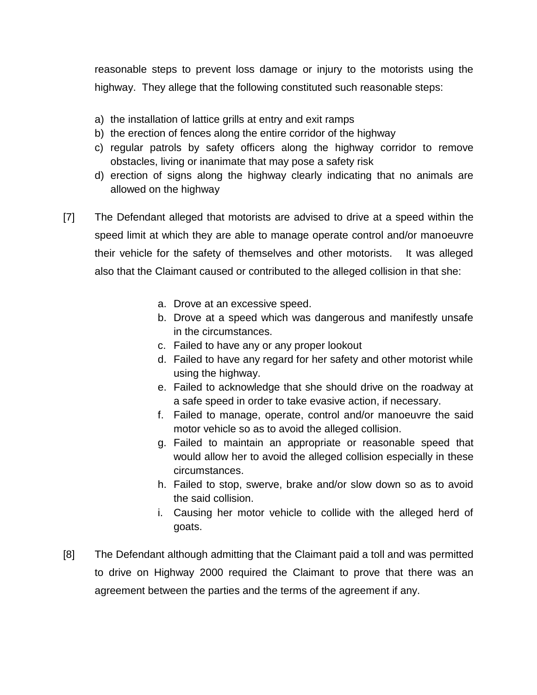reasonable steps to prevent loss damage or injury to the motorists using the highway. They allege that the following constituted such reasonable steps:

- a) the installation of lattice grills at entry and exit ramps
- b) the erection of fences along the entire corridor of the highway
- c) regular patrols by safety officers along the highway corridor to remove obstacles, living or inanimate that may pose a safety risk
- d) erection of signs along the highway clearly indicating that no animals are allowed on the highway
- [7] The Defendant alleged that motorists are advised to drive at a speed within the speed limit at which they are able to manage operate control and/or manoeuvre their vehicle for the safety of themselves and other motorists. It was alleged also that the Claimant caused or contributed to the alleged collision in that she:
	- a. Drove at an excessive speed.
	- b. Drove at a speed which was dangerous and manifestly unsafe in the circumstances.
	- c. Failed to have any or any proper lookout
	- d. Failed to have any regard for her safety and other motorist while using the highway.
	- e. Failed to acknowledge that she should drive on the roadway at a safe speed in order to take evasive action, if necessary.
	- f. Failed to manage, operate, control and/or manoeuvre the said motor vehicle so as to avoid the alleged collision.
	- g. Failed to maintain an appropriate or reasonable speed that would allow her to avoid the alleged collision especially in these circumstances.
	- h. Failed to stop, swerve, brake and/or slow down so as to avoid the said collision.
	- i. Causing her motor vehicle to collide with the alleged herd of goats.
- [8] The Defendant although admitting that the Claimant paid a toll and was permitted to drive on Highway 2000 required the Claimant to prove that there was an agreement between the parties and the terms of the agreement if any.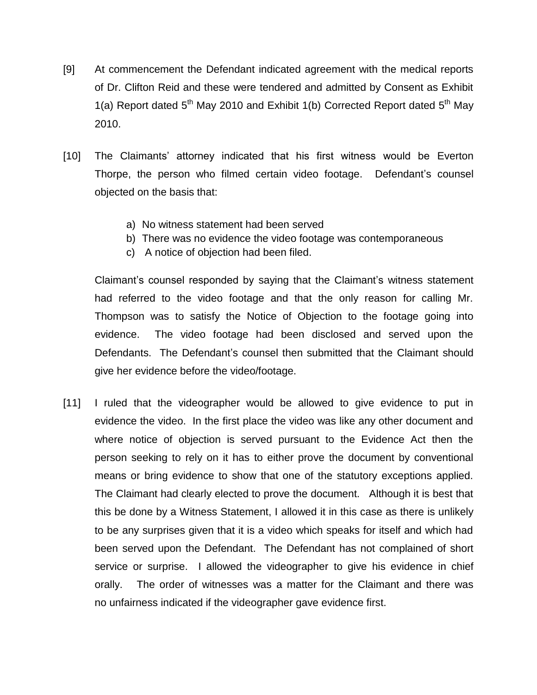- [9] At commencement the Defendant indicated agreement with the medical reports of Dr. Clifton Reid and these were tendered and admitted by Consent as Exhibit 1(a) Report dated  $5<sup>th</sup>$  May 2010 and Exhibit 1(b) Corrected Report dated  $5<sup>th</sup>$  May 2010.
- [10] The Claimants' attorney indicated that his first witness would be Everton Thorpe, the person who filmed certain video footage. Defendant's counsel objected on the basis that:
	- a) No witness statement had been served
	- b) There was no evidence the video footage was contemporaneous
	- c) A notice of objection had been filed.

Claimant's counsel responded by saying that the Claimant's witness statement had referred to the video footage and that the only reason for calling Mr. Thompson was to satisfy the Notice of Objection to the footage going into evidence. The video footage had been disclosed and served upon the Defendants. The Defendant's counsel then submitted that the Claimant should give her evidence before the video/footage.

[11] I ruled that the videographer would be allowed to give evidence to put in evidence the video. In the first place the video was like any other document and where notice of objection is served pursuant to the Evidence Act then the person seeking to rely on it has to either prove the document by conventional means or bring evidence to show that one of the statutory exceptions applied. The Claimant had clearly elected to prove the document. Although it is best that this be done by a Witness Statement, I allowed it in this case as there is unlikely to be any surprises given that it is a video which speaks for itself and which had been served upon the Defendant. The Defendant has not complained of short service or surprise. I allowed the videographer to give his evidence in chief orally. The order of witnesses was a matter for the Claimant and there was no unfairness indicated if the videographer gave evidence first.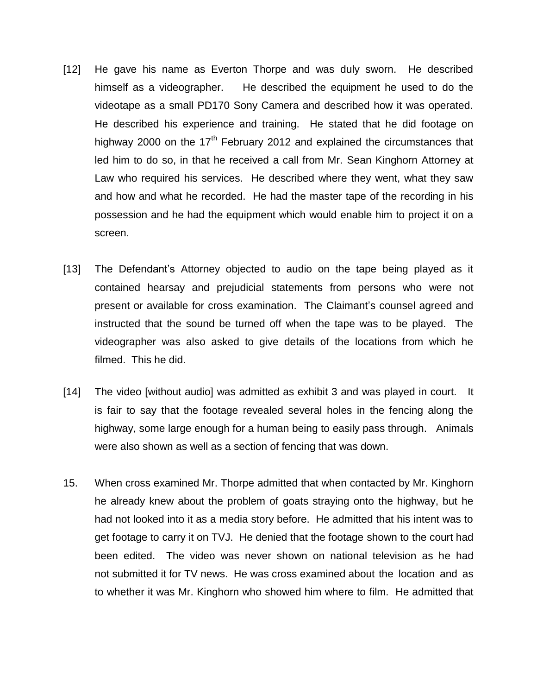- [12] He gave his name as Everton Thorpe and was duly sworn. He described himself as a videographer. He described the equipment he used to do the videotape as a small PD170 Sony Camera and described how it was operated. He described his experience and training. He stated that he did footage on highway 2000 on the  $17<sup>th</sup>$  February 2012 and explained the circumstances that led him to do so, in that he received a call from Mr. Sean Kinghorn Attorney at Law who required his services. He described where they went, what they saw and how and what he recorded. He had the master tape of the recording in his possession and he had the equipment which would enable him to project it on a screen.
- [13] The Defendant's Attorney objected to audio on the tape being played as it contained hearsay and prejudicial statements from persons who were not present or available for cross examination. The Claimant's counsel agreed and instructed that the sound be turned off when the tape was to be played. The videographer was also asked to give details of the locations from which he filmed. This he did.
- [14] The video [without audio] was admitted as exhibit 3 and was played in court. It is fair to say that the footage revealed several holes in the fencing along the highway, some large enough for a human being to easily pass through. Animals were also shown as well as a section of fencing that was down.
- 15. When cross examined Mr. Thorpe admitted that when contacted by Mr. Kinghorn he already knew about the problem of goats straying onto the highway, but he had not looked into it as a media story before. He admitted that his intent was to get footage to carry it on TVJ. He denied that the footage shown to the court had been edited. The video was never shown on national television as he had not submitted it for TV news. He was cross examined about the location and as to whether it was Mr. Kinghorn who showed him where to film. He admitted that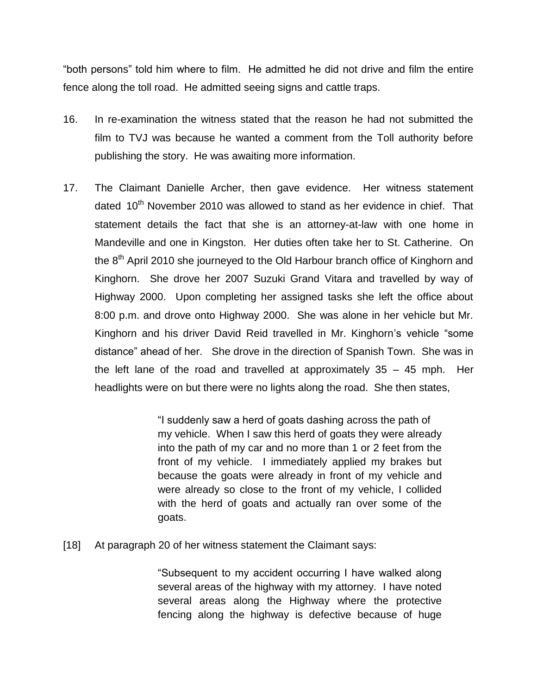"both persons" told him where to film. He admitted he did not drive and film the entire fence along the toll road. He admitted seeing signs and cattle traps.

- 16. In re-examination the witness stated that the reason he had not submitted the film to TVJ was because he wanted a comment from the Toll authority before publishing the story. He was awaiting more information.
- 17. The Claimant Danielle Archer, then gave evidence. Her witness statement dated 10<sup>th</sup> November 2010 was allowed to stand as her evidence in chief. That statement details the fact that she is an attorney-at-law with one home in Mandeville and one in Kingston. Her duties often take her to St. Catherine. On the  $8<sup>th</sup>$  April 2010 she journeyed to the Old Harbour branch office of Kinghorn and Kinghorn. She drove her 2007 Suzuki Grand Vitara and travelled by way of Highway 2000. Upon completing her assigned tasks she left the office about 8:00 p.m. and drove onto Highway 2000. She was alone in her vehicle but Mr. Kinghorn and his driver David Reid travelled in Mr. Kinghorn's vehicle "some distance" ahead of her. She drove in the direction of Spanish Town. She was in the left lane of the road and travelled at approximately 35 – 45 mph. Her headlights were on but there were no lights along the road. She then states,

"I suddenly saw a herd of goats dashing across the path of my vehicle. When I saw this herd of goats they were already into the path of my car and no more than 1 or 2 feet from the front of my vehicle. I immediately applied my brakes but because the goats were already in front of my vehicle and were already so close to the front of my vehicle, I collided with the herd of goats and actually ran over some of the goats.

[18] At paragraph 20 of her witness statement the Claimant says:

"Subsequent to my accident occurring I have walked along several areas of the highway with my attorney. I have noted several areas along the Highway where the protective fencing along the highway is defective because of huge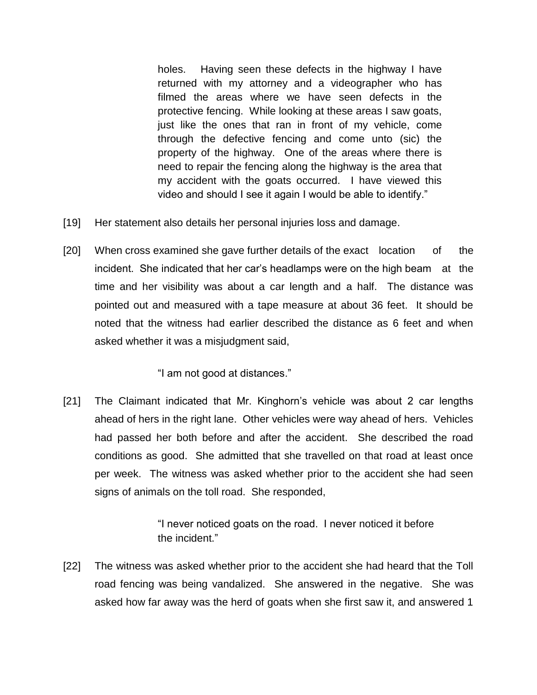holes. Having seen these defects in the highway I have returned with my attorney and a videographer who has filmed the areas where we have seen defects in the protective fencing. While looking at these areas I saw goats, just like the ones that ran in front of my vehicle, come through the defective fencing and come unto (sic) the property of the highway. One of the areas where there is need to repair the fencing along the highway is the area that my accident with the goats occurred. I have viewed this video and should I see it again I would be able to identify."

- [19] Her statement also details her personal injuries loss and damage.
- [20] When cross examined she gave further details of the exact location of the incident. She indicated that her car's headlamps were on the high beam at the time and her visibility was about a car length and a half. The distance was pointed out and measured with a tape measure at about 36 feet. It should be noted that the witness had earlier described the distance as 6 feet and when asked whether it was a misjudgment said,

"I am not good at distances."

[21] The Claimant indicated that Mr. Kinghorn's vehicle was about 2 car lengths ahead of hers in the right lane. Other vehicles were way ahead of hers. Vehicles had passed her both before and after the accident. She described the road conditions as good. She admitted that she travelled on that road at least once per week. The witness was asked whether prior to the accident she had seen signs of animals on the toll road. She responded,

> "I never noticed goats on the road. I never noticed it before the incident."

[22] The witness was asked whether prior to the accident she had heard that the Toll road fencing was being vandalized. She answered in the negative. She was asked how far away was the herd of goats when she first saw it, and answered 1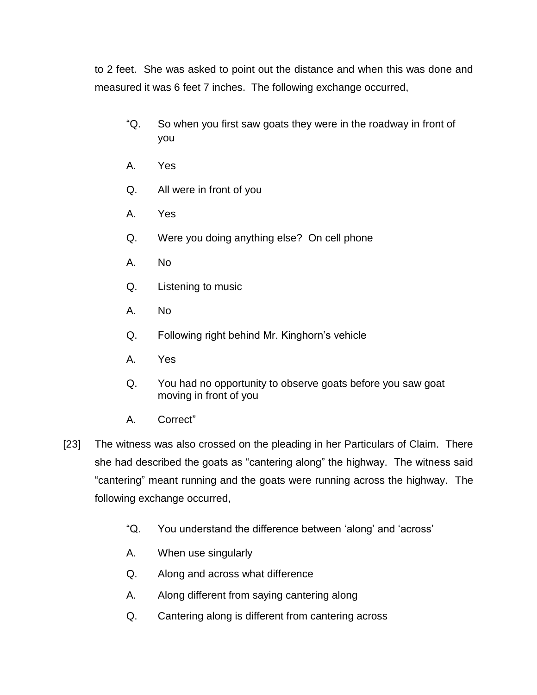to 2 feet. She was asked to point out the distance and when this was done and measured it was 6 feet 7 inches. The following exchange occurred,

- "Q. So when you first saw goats they were in the roadway in front of you
- A. Yes
- Q. All were in front of you
- A. Yes
- Q. Were you doing anything else? On cell phone
- A. No
- Q. Listening to music
- A. No
- Q. Following right behind Mr. Kinghorn's vehicle
- A. Yes
- Q. You had no opportunity to observe goats before you saw goat moving in front of you
- A. Correct"
- [23] The witness was also crossed on the pleading in her Particulars of Claim. There she had described the goats as "cantering along" the highway. The witness said "cantering" meant running and the goats were running across the highway. The following exchange occurred,
	- "Q. You understand the difference between 'along' and 'across'
	- A. When use singularly
	- Q. Along and across what difference
	- A. Along different from saying cantering along
	- Q. Cantering along is different from cantering across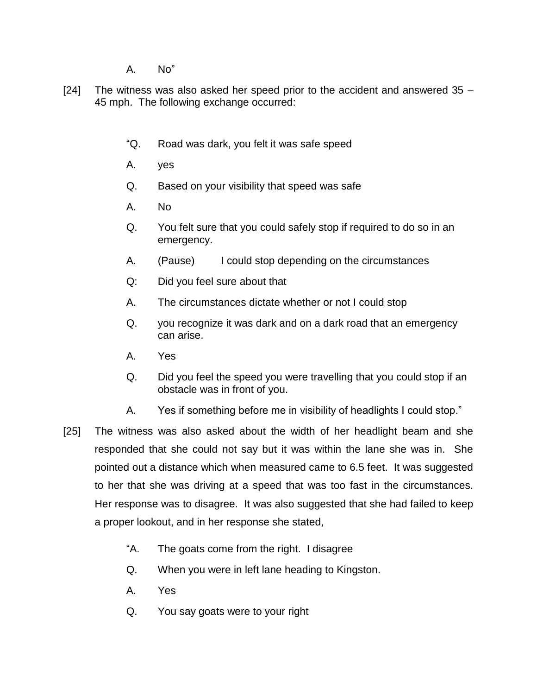A. No"

- [24] The witness was also asked her speed prior to the accident and answered 35 45 mph. The following exchange occurred:
	- "Q. Road was dark, you felt it was safe speed
	- A. yes
	- Q. Based on your visibility that speed was safe
	- A. No
	- Q. You felt sure that you could safely stop if required to do so in an emergency.
	- A. (Pause) I could stop depending on the circumstances
	- Q: Did you feel sure about that
	- A. The circumstances dictate whether or not I could stop
	- Q. you recognize it was dark and on a dark road that an emergency can arise.
	- A. Yes
	- Q. Did you feel the speed you were travelling that you could stop if an obstacle was in front of you.
	- A. Yes if something before me in visibility of headlights I could stop."
- [25] The witness was also asked about the width of her headlight beam and she responded that she could not say but it was within the lane she was in. She pointed out a distance which when measured came to 6.5 feet. It was suggested to her that she was driving at a speed that was too fast in the circumstances. Her response was to disagree. It was also suggested that she had failed to keep a proper lookout, and in her response she stated,
	- "A. The goats come from the right. I disagree
	- Q. When you were in left lane heading to Kingston.
	- A. Yes
	- Q. You say goats were to your right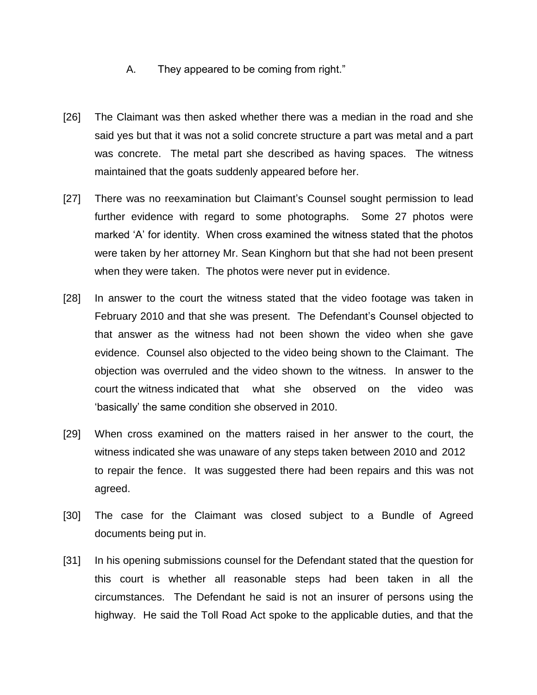- A. They appeared to be coming from right."
- [26] The Claimant was then asked whether there was a median in the road and she said yes but that it was not a solid concrete structure a part was metal and a part was concrete. The metal part she described as having spaces. The witness maintained that the goats suddenly appeared before her.
- [27] There was no reexamination but Claimant's Counsel sought permission to lead further evidence with regard to some photographs. Some 27 photos were marked 'A' for identity. When cross examined the witness stated that the photos were taken by her attorney Mr. Sean Kinghorn but that she had not been present when they were taken. The photos were never put in evidence.
- [28] In answer to the court the witness stated that the video footage was taken in February 2010 and that she was present. The Defendant's Counsel objected to that answer as the witness had not been shown the video when she gave evidence. Counsel also objected to the video being shown to the Claimant. The objection was overruled and the video shown to the witness. In answer to the court the witness indicated that what she observed on the video was 'basically' the same condition she observed in 2010.
- [29] When cross examined on the matters raised in her answer to the court, the witness indicated she was unaware of any steps taken between 2010 and 2012 to repair the fence. It was suggested there had been repairs and this was not agreed.
- [30] The case for the Claimant was closed subject to a Bundle of Agreed documents being put in.
- [31] In his opening submissions counsel for the Defendant stated that the question for this court is whether all reasonable steps had been taken in all the circumstances. The Defendant he said is not an insurer of persons using the highway. He said the Toll Road Act spoke to the applicable duties, and that the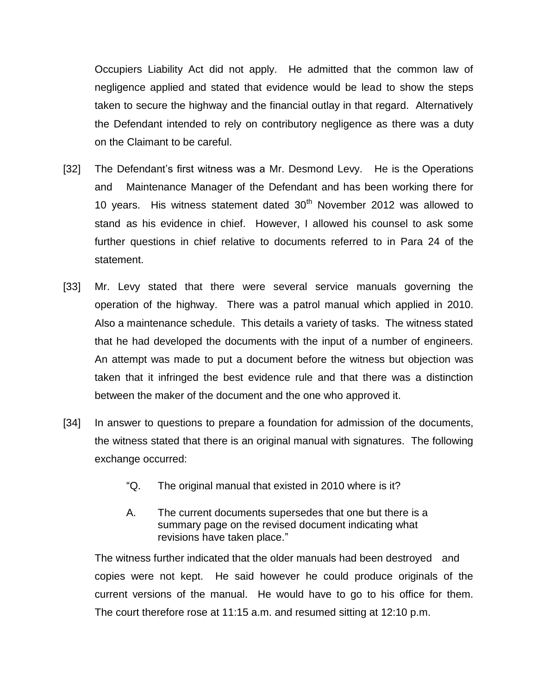Occupiers Liability Act did not apply. He admitted that the common law of negligence applied and stated that evidence would be lead to show the steps taken to secure the highway and the financial outlay in that regard. Alternatively the Defendant intended to rely on contributory negligence as there was a duty on the Claimant to be careful.

- [32] The Defendant's first witness was a Mr. Desmond Levy. He is the Operations and Maintenance Manager of the Defendant and has been working there for 10 years. His witness statement dated  $30<sup>th</sup>$  November 2012 was allowed to stand as his evidence in chief. However, I allowed his counsel to ask some further questions in chief relative to documents referred to in Para 24 of the statement.
- [33] Mr. Levy stated that there were several service manuals governing the operation of the highway. There was a patrol manual which applied in 2010. Also a maintenance schedule. This details a variety of tasks. The witness stated that he had developed the documents with the input of a number of engineers. An attempt was made to put a document before the witness but objection was taken that it infringed the best evidence rule and that there was a distinction between the maker of the document and the one who approved it.
- [34] In answer to questions to prepare a foundation for admission of the documents, the witness stated that there is an original manual with signatures. The following exchange occurred:
	- "Q. The original manual that existed in 2010 where is it?
	- A. The current documents supersedes that one but there is a summary page on the revised document indicating what revisions have taken place."

The witness further indicated that the older manuals had been destroyed and copies were not kept. He said however he could produce originals of the current versions of the manual. He would have to go to his office for them. The court therefore rose at 11:15 a.m. and resumed sitting at 12:10 p.m.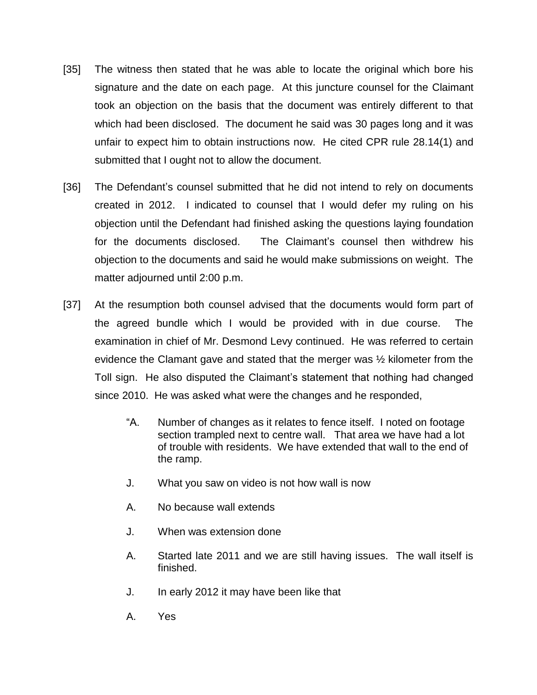- [35] The witness then stated that he was able to locate the original which bore his signature and the date on each page. At this juncture counsel for the Claimant took an objection on the basis that the document was entirely different to that which had been disclosed. The document he said was 30 pages long and it was unfair to expect him to obtain instructions now. He cited CPR rule 28.14(1) and submitted that I ought not to allow the document.
- [36] The Defendant's counsel submitted that he did not intend to rely on documents created in 2012. I indicated to counsel that I would defer my ruling on his objection until the Defendant had finished asking the questions laying foundation for the documents disclosed. The Claimant's counsel then withdrew his objection to the documents and said he would make submissions on weight. The matter adjourned until 2:00 p.m.
- [37] At the resumption both counsel advised that the documents would form part of the agreed bundle which I would be provided with in due course. The examination in chief of Mr. Desmond Levy continued. He was referred to certain evidence the Clamant gave and stated that the merger was ½ kilometer from the Toll sign. He also disputed the Claimant's statement that nothing had changed since 2010. He was asked what were the changes and he responded,
	- "A. Number of changes as it relates to fence itself. I noted on footage section trampled next to centre wall. That area we have had a lot of trouble with residents. We have extended that wall to the end of the ramp.
	- J. What you saw on video is not how wall is now
	- A. No because wall extends
	- J. When was extension done
	- A. Started late 2011 and we are still having issues. The wall itself is finished.
	- J. In early 2012 it may have been like that
	- A. Yes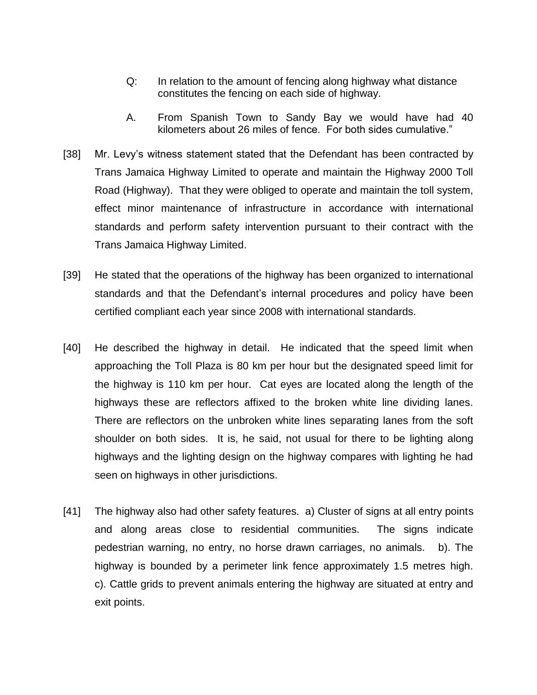- Q: In relation to the amount of fencing along highway what distance constitutes the fencing on each side of highway.
- A. From Spanish Town to Sandy Bay we would have had 40 kilometers about 26 miles of fence. For both sides cumulative."
- [38] Mr. Levy's witness statement stated that the Defendant has been contracted by Trans Jamaica Highway Limited to operate and maintain the Highway 2000 Toll Road (Highway). That they were obliged to operate and maintain the toll system, effect minor maintenance of infrastructure in accordance with international standards and perform safety intervention pursuant to their contract with the Trans Jamaica Highway Limited.
- [39] He stated that the operations of the highway has been organized to international standards and that the Defendant's internal procedures and policy have been certified compliant each year since 2008 with international standards.
- [40] He described the highway in detail. He indicated that the speed limit when approaching the Toll Plaza is 80 km per hour but the designated speed limit for the highway is 110 km per hour. Cat eyes are located along the length of the highways these are reflectors affixed to the broken white line dividing lanes. There are reflectors on the unbroken white lines separating lanes from the soft shoulder on both sides. It is, he said, not usual for there to be lighting along highways and the lighting design on the highway compares with lighting he had seen on highways in other jurisdictions.
- [41] The highway also had other safety features. a) Cluster of signs at all entry points and along areas close to residential communities. The signs indicate pedestrian warning, no entry, no horse drawn carriages, no animals. b). The highway is bounded by a perimeter link fence approximately 1.5 metres high. c). Cattle grids to prevent animals entering the highway are situated at entry and exit points.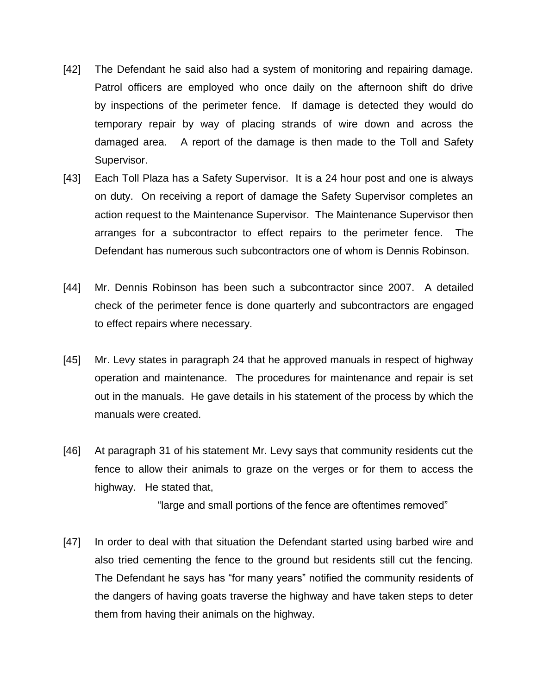- [42] The Defendant he said also had a system of monitoring and repairing damage. Patrol officers are employed who once daily on the afternoon shift do drive by inspections of the perimeter fence. If damage is detected they would do temporary repair by way of placing strands of wire down and across the damaged area. A report of the damage is then made to the Toll and Safety Supervisor.
- [43] Each Toll Plaza has a Safety Supervisor. It is a 24 hour post and one is always on duty. On receiving a report of damage the Safety Supervisor completes an action request to the Maintenance Supervisor. The Maintenance Supervisor then arranges for a subcontractor to effect repairs to the perimeter fence. The Defendant has numerous such subcontractors one of whom is Dennis Robinson.
- [44] Mr. Dennis Robinson has been such a subcontractor since 2007. A detailed check of the perimeter fence is done quarterly and subcontractors are engaged to effect repairs where necessary.
- [45] Mr. Levy states in paragraph 24 that he approved manuals in respect of highway operation and maintenance. The procedures for maintenance and repair is set out in the manuals. He gave details in his statement of the process by which the manuals were created.
- [46] At paragraph 31 of his statement Mr. Levy says that community residents cut the fence to allow their animals to graze on the verges or for them to access the highway. He stated that,

"large and small portions of the fence are oftentimes removed"

[47] In order to deal with that situation the Defendant started using barbed wire and also tried cementing the fence to the ground but residents still cut the fencing. The Defendant he says has "for many years" notified the community residents of the dangers of having goats traverse the highway and have taken steps to deter them from having their animals on the highway.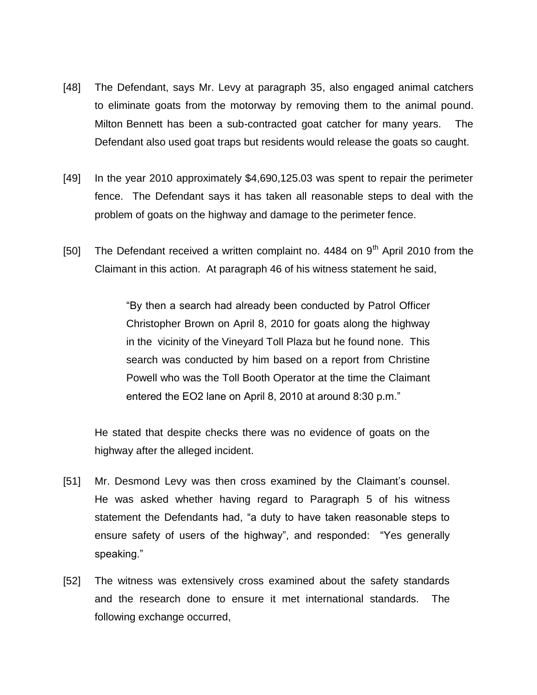- [48] The Defendant, says Mr. Levy at paragraph 35, also engaged animal catchers to eliminate goats from the motorway by removing them to the animal pound. Milton Bennett has been a sub-contracted goat catcher for many years. The Defendant also used goat traps but residents would release the goats so caught.
- [49] In the year 2010 approximately \$4,690,125.03 was spent to repair the perimeter fence. The Defendant says it has taken all reasonable steps to deal with the problem of goats on the highway and damage to the perimeter fence.
- [50] The Defendant received a written complaint no. 4484 on  $9<sup>th</sup>$  April 2010 from the Claimant in this action. At paragraph 46 of his witness statement he said,

"By then a search had already been conducted by Patrol Officer Christopher Brown on April 8, 2010 for goats along the highway in the vicinity of the Vineyard Toll Plaza but he found none. This search was conducted by him based on a report from Christine Powell who was the Toll Booth Operator at the time the Claimant entered the EO2 lane on April 8, 2010 at around 8:30 p.m."

He stated that despite checks there was no evidence of goats on the highway after the alleged incident.

- [51] Mr. Desmond Levy was then cross examined by the Claimant's counsel. He was asked whether having regard to Paragraph 5 of his witness statement the Defendants had, "a duty to have taken reasonable steps to ensure safety of users of the highway", and responded: "Yes generally speaking."
- [52] The witness was extensively cross examined about the safety standards and the research done to ensure it met international standards. The following exchange occurred,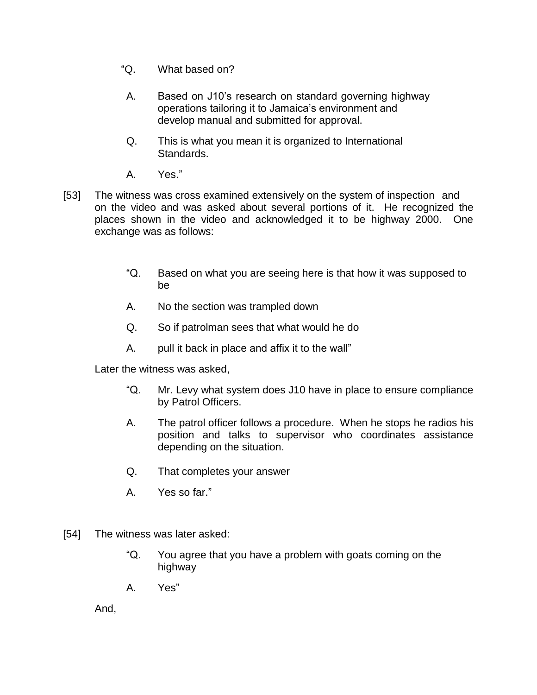- "Q. What based on?
- A. Based on J10's research on standard governing highway operations tailoring it to Jamaica's environment and develop manual and submitted for approval.
- Q. This is what you mean it is organized to International Standards.
- A. Yes."
- [53] The witness was cross examined extensively on the system of inspection and on the video and was asked about several portions of it. He recognized the places shown in the video and acknowledged it to be highway 2000. One exchange was as follows:
	- "Q. Based on what you are seeing here is that how it was supposed to be
	- A. No the section was trampled down
	- Q. So if patrolman sees that what would he do
	- A. pull it back in place and affix it to the wall"

Later the witness was asked,

- "Q. Mr. Levy what system does J10 have in place to ensure compliance by Patrol Officers.
- A. The patrol officer follows a procedure. When he stops he radios his position and talks to supervisor who coordinates assistance depending on the situation.
- Q. That completes your answer
- A. Yes so far."
- [54] The witness was later asked:
	- "Q. You agree that you have a problem with goats coming on the highway
	- A. Yes"

And,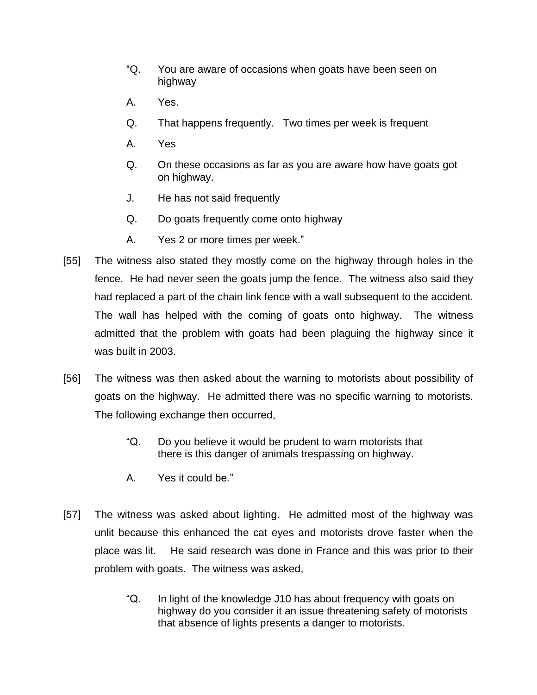- "Q. You are aware of occasions when goats have been seen on highway
- A. Yes.
- Q. That happens frequently. Two times per week is frequent
- A. Yes
- Q. On these occasions as far as you are aware how have goats got on highway.
- J. He has not said frequently
- Q. Do goats frequently come onto highway
- A. Yes 2 or more times per week."
- [55] The witness also stated they mostly come on the highway through holes in the fence. He had never seen the goats jump the fence. The witness also said they had replaced a part of the chain link fence with a wall subsequent to the accident. The wall has helped with the coming of goats onto highway. The witness admitted that the problem with goats had been plaguing the highway since it was built in 2003.
- [56] The witness was then asked about the warning to motorists about possibility of goats on the highway. He admitted there was no specific warning to motorists. The following exchange then occurred,
	- "Q. Do you believe it would be prudent to warn motorists that there is this danger of animals trespassing on highway.
	- A. Yes it could be."
- [57] The witness was asked about lighting. He admitted most of the highway was unlit because this enhanced the cat eyes and motorists drove faster when the place was lit. He said research was done in France and this was prior to their problem with goats. The witness was asked,
	- "Q. In light of the knowledge J10 has about frequency with goats on highway do you consider it an issue threatening safety of motorists that absence of lights presents a danger to motorists.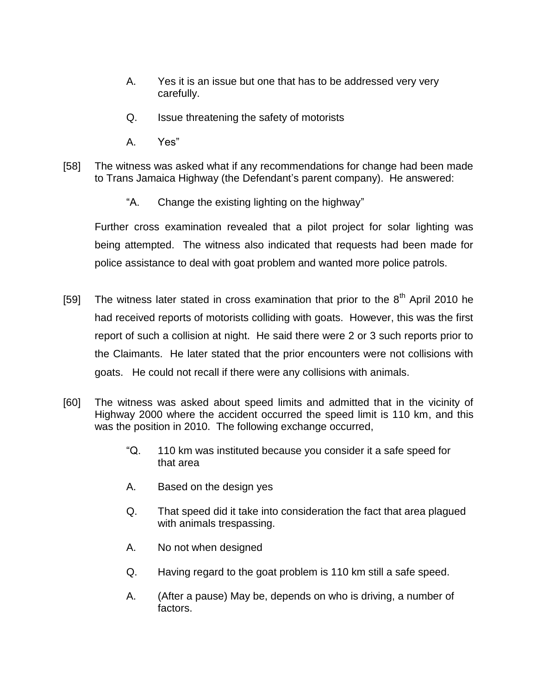- A. Yes it is an issue but one that has to be addressed very very carefully.
- Q. Issue threatening the safety of motorists
- A. Yes"
- [58] The witness was asked what if any recommendations for change had been made to Trans Jamaica Highway (the Defendant's parent company). He answered:
	- "A. Change the existing lighting on the highway"

Further cross examination revealed that a pilot project for solar lighting was being attempted. The witness also indicated that requests had been made for police assistance to deal with goat problem and wanted more police patrols.

- [59] The witness later stated in cross examination that prior to the  $8<sup>th</sup>$  April 2010 he had received reports of motorists colliding with goats. However, this was the first report of such a collision at night. He said there were 2 or 3 such reports prior to the Claimants. He later stated that the prior encounters were not collisions with goats. He could not recall if there were any collisions with animals.
- [60] The witness was asked about speed limits and admitted that in the vicinity of Highway 2000 where the accident occurred the speed limit is 110 km, and this was the position in 2010. The following exchange occurred,
	- "Q. 110 km was instituted because you consider it a safe speed for that area
	- A. Based on the design yes
	- Q. That speed did it take into consideration the fact that area plagued with animals trespassing.
	- A. No not when designed
	- Q. Having regard to the goat problem is 110 km still a safe speed.
	- A. (After a pause) May be, depends on who is driving, a number of factors.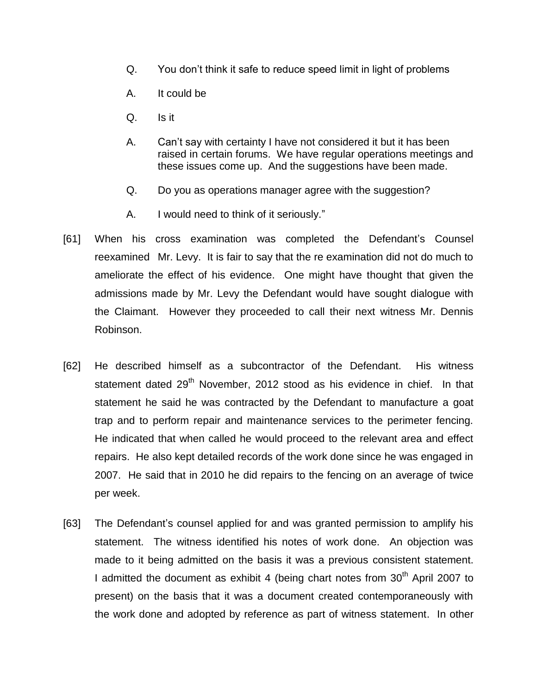- Q. You don't think it safe to reduce speed limit in light of problems
- A. It could be
- Q. Is it
- A. Can't say with certainty I have not considered it but it has been raised in certain forums. We have regular operations meetings and these issues come up. And the suggestions have been made.
- Q. Do you as operations manager agree with the suggestion?
- A. I would need to think of it seriously."
- [61] When his cross examination was completed the Defendant's Counsel reexamined Mr. Levy. It is fair to say that the re examination did not do much to ameliorate the effect of his evidence. One might have thought that given the admissions made by Mr. Levy the Defendant would have sought dialogue with the Claimant. However they proceeded to call their next witness Mr. Dennis Robinson.
- [62] He described himself as a subcontractor of the Defendant. His witness statement dated 29<sup>th</sup> November, 2012 stood as his evidence in chief. In that statement he said he was contracted by the Defendant to manufacture a goat trap and to perform repair and maintenance services to the perimeter fencing. He indicated that when called he would proceed to the relevant area and effect repairs. He also kept detailed records of the work done since he was engaged in 2007. He said that in 2010 he did repairs to the fencing on an average of twice per week.
- [63] The Defendant's counsel applied for and was granted permission to amplify his statement. The witness identified his notes of work done. An objection was made to it being admitted on the basis it was a previous consistent statement. I admitted the document as exhibit 4 (being chart notes from  $30<sup>th</sup>$  April 2007 to present) on the basis that it was a document created contemporaneously with the work done and adopted by reference as part of witness statement. In other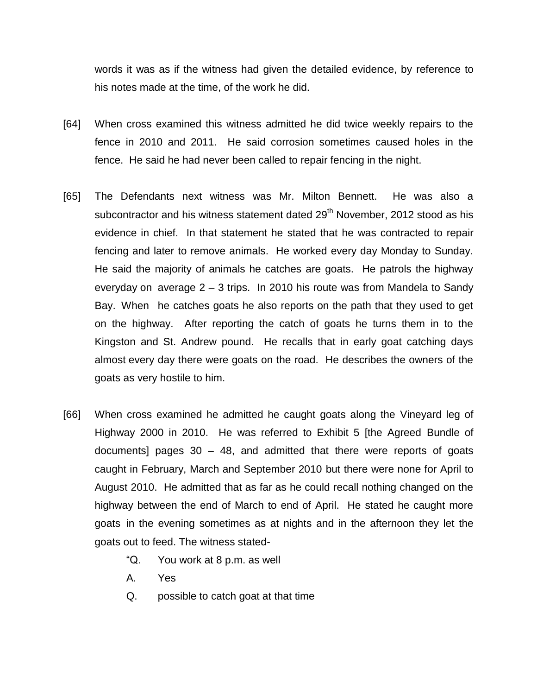words it was as if the witness had given the detailed evidence, by reference to his notes made at the time, of the work he did.

- [64] When cross examined this witness admitted he did twice weekly repairs to the fence in 2010 and 2011. He said corrosion sometimes caused holes in the fence. He said he had never been called to repair fencing in the night.
- [65] The Defendants next witness was Mr. Milton Bennett. He was also a subcontractor and his witness statement dated 29<sup>th</sup> November, 2012 stood as his evidence in chief. In that statement he stated that he was contracted to repair fencing and later to remove animals. He worked every day Monday to Sunday. He said the majority of animals he catches are goats. He patrols the highway everyday on average 2 – 3 trips. In 2010 his route was from Mandela to Sandy Bay. When he catches goats he also reports on the path that they used to get on the highway. After reporting the catch of goats he turns them in to the Kingston and St. Andrew pound. He recalls that in early goat catching days almost every day there were goats on the road. He describes the owners of the goats as very hostile to him.
- [66] When cross examined he admitted he caught goats along the Vineyard leg of Highway 2000 in 2010. He was referred to Exhibit 5 [the Agreed Bundle of documents] pages 30 – 48, and admitted that there were reports of goats caught in February, March and September 2010 but there were none for April to August 2010. He admitted that as far as he could recall nothing changed on the highway between the end of March to end of April. He stated he caught more goats in the evening sometimes as at nights and in the afternoon they let the goats out to feed. The witness stated-
	- "Q. You work at 8 p.m. as well
	- A. Yes
	- Q. possible to catch goat at that time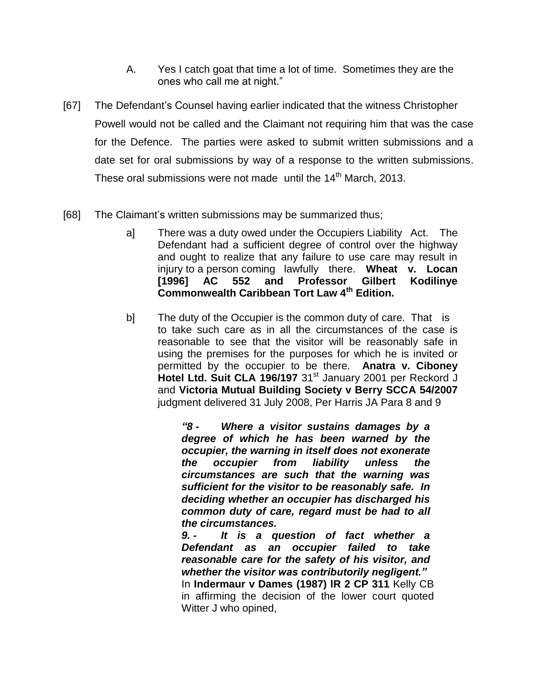- A. Yes I catch goat that time a lot of time. Sometimes they are the ones who call me at night."
- [67] The Defendant's Counsel having earlier indicated that the witness Christopher Powell would not be called and the Claimant not requiring him that was the case for the Defence. The parties were asked to submit written submissions and a date set for oral submissions by way of a response to the written submissions. These oral submissions were not made until the 14<sup>th</sup> March, 2013.
- [68] The Claimant's written submissions may be summarized thus;
	- a] There was a duty owed under the Occupiers Liability Act. The Defendant had a sufficient degree of control over the highway and ought to realize that any failure to use care may result in injury to a person coming lawfully there. **Wheat v. Locan [1996] AC 552 and Professor Gilbert Kodilinye Commonwealth Caribbean Tort Law 4th Edition.**
	- b] The duty of the Occupier is the common duty of care. That is to take such care as in all the circumstances of the case is reasonable to see that the visitor will be reasonably safe in using the premises for the purposes for which he is invited or permitted by the occupier to be there. **Anatra v. Ciboney**  Hotel Ltd. Suit CLA 196/197 31<sup>st</sup> January 2001 per Reckord J and **Victoria Mutual Building Society v Berry SCCA 54/2007** judgment delivered 31 July 2008, Per Harris JA Para 8 and 9

*"8 - Where a visitor sustains damages by a degree of which he has been warned by the occupier, the warning in itself does not exonerate the occupier from liability unless the circumstances are such that the warning was sufficient for the visitor to be reasonably safe. In deciding whether an occupier has discharged his common duty of care, regard must be had to all the circumstances.* 

*9. - It is a question of fact whether a Defendant as an occupier failed to take reasonable care for the safety of his visitor, and whether the visitor was contributorily negligent."* In **Indermaur v Dames [\(1987\) lR 2 CP 311](https://www.google.com.jm/search?hl=en&q=Indermaur+v+Dames+%281987%29+lR+2+CP+311&spell=1&sa=X&ei=1TaBUaWgJsS30AG1-YBY&sqi=2&ved=0CCgQvwUoAA&biw=1024&bih=625)** Kelly CB in affirming the decision of the lower court quoted Witter J who opined,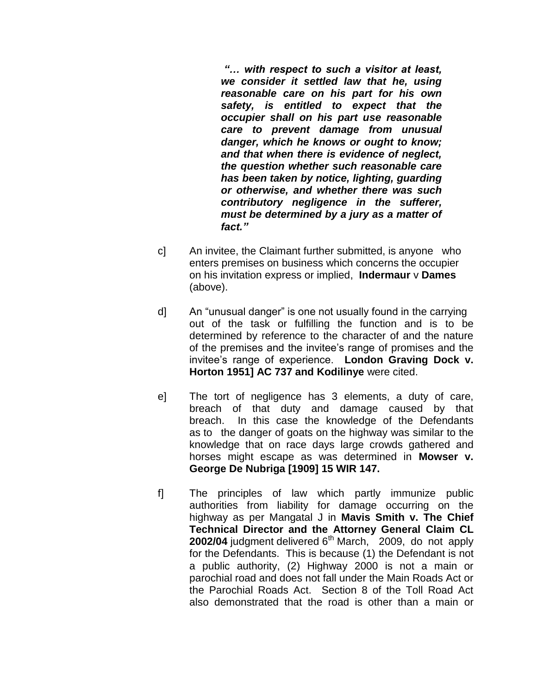*"… with respect to such a visitor at least, we consider it settled law that he, using reasonable care on his part for his own safety, is entitled to expect that the occupier shall on his part use reasonable care to prevent damage from unusual danger, which he knows or ought to know; and that when there is evidence of neglect, the question whether such reasonable care has been taken by notice, lighting, guarding or otherwise, and whether there was such contributory negligence in the sufferer, must be determined by a jury as a matter of fact."*

- c] An invitee, the Claimant further submitted, is anyone who enters premises on business which concerns the occupier on his invitation express or implied, **[Indermaur](https://www.google.com.jm/search?hl=en&q=Indermaur+v+Dames+%281987%29+lR+2+CP+311&spell=1&sa=X&ei=1TaBUaWgJsS30AG1-YBY&sqi=2&ved=0CCgQvwUoAA&biw=1024&bih=625)** v **Dames** (above).
- d] An "unusual danger" is one not usually found in the carrying out of the task or fulfilling the function and is to be determined by reference to the character of and the nature of the premises and the invitee's range of promises and the invitee's range of experience. **London Graving Dock v. Horton 1951] AC 737 and Kodilinye** were cited.
- e] The tort of negligence has 3 elements, a duty of care, breach of that duty and damage caused by that breach. In this case the knowledge of the Defendants as to the danger of goats on the highway was similar to the knowledge that on race days large crowds gathered and horses might escape as was determined in **Mowser v. George De Nubriga [1909] 15 WIR 147.**
- f] The principles of law which partly immunize public authorities from liability for damage occurring on the highway as per Mangatal J in **Mavis Smith v. The Chief Technical Director and the Attorney General Claim CL 2002/04** judgment delivered 6<sup>th</sup> March, 2009, do not apply for the Defendants. This is because (1) the Defendant is not a public authority, (2) Highway 2000 is not a main or parochial road and does not fall under the Main Roads Act or the Parochial Roads Act. Section 8 of the Toll Road Act also demonstrated that the road is other than a main or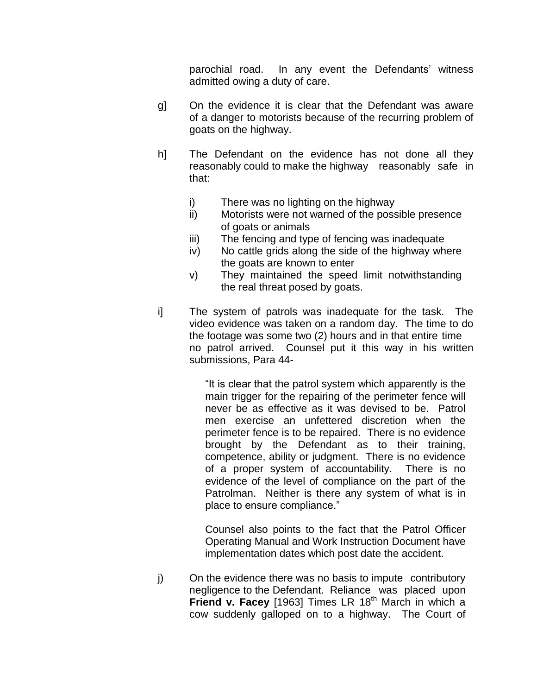parochial road. In any event the Defendants' witness admitted owing a duty of care.

- g] On the evidence it is clear that the Defendant was aware of a danger to motorists because of the recurring problem of goats on the highway.
- h] The Defendant on the evidence has not done all they reasonably could to make the highway reasonably safe in that:
	- i) There was no lighting on the highway
	- ii) Motorists were not warned of the possible presence of goats or animals
	- iii) The fencing and type of fencing was inadequate
	- iv) No cattle grids along the side of the highway where the goats are known to enter
	- v) They maintained the speed limit notwithstanding the real threat posed by goats.
- i] The system of patrols was inadequate for the task. The video evidence was taken on a random day. The time to do the footage was some two (2) hours and in that entire time no patrol arrived. Counsel put it this way in his written submissions, Para 44-

"It is clear that the patrol system which apparently is the main trigger for the repairing of the perimeter fence will never be as effective as it was devised to be. Patrol men exercise an unfettered discretion when the perimeter fence is to be repaired. There is no evidence brought by the Defendant as to their training, competence, ability or judgment. There is no evidence of a proper system of accountability. There is no evidence of the level of compliance on the part of the Patrolman. Neither is there any system of what is in place to ensure compliance."

Counsel also points to the fact that the Patrol Officer Operating Manual and Work Instruction Document have implementation dates which post date the accident.

j) On the evidence there was no basis to impute contributory negligence to the Defendant. Reliance was placed upon **Friend v. Facey** [1963] Times LR 18<sup>th</sup> March in which a cow suddenly galloped on to a highway. The Court of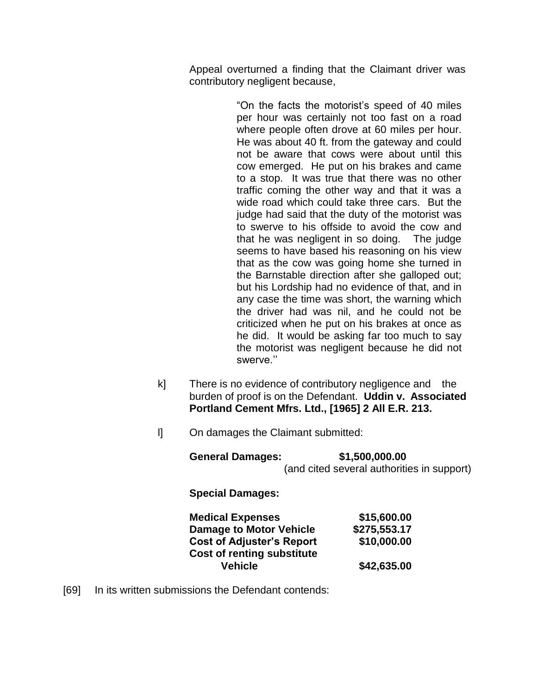Appeal overturned a finding that the Claimant driver was contributory negligent because,

> "On the facts the motorist's speed of 40 miles per hour was certainly not too fast on a road where people often drove at 60 miles per hour. He was about 40 ft. from the gateway and could not be aware that cows were about until this cow emerged. He put on his brakes and came to a stop. It was true that there was no other traffic coming the other way and that it was a wide road which could take three cars. But the judge had said that the duty of the motorist was to swerve to his offside to avoid the cow and that he was negligent in so doing. The judge seems to have based his reasoning on his view that as the cow was going home she turned in the Barnstable direction after she galloped out; but his Lordship had no evidence of that, and in any case the time was short, the warning which the driver had was nil, and he could not be criticized when he put on his brakes at once as he did. It would be asking far too much to say the motorist was negligent because he did not swerve.''

- k] There is no evidence of contributory negligence and the burden of proof is on the Defendant. **Uddin v. Associated Portland Cement Mfrs. Ltd., [1965] 2 All E.R. 213.**
- l] On damages the Claimant submitted:

**General Damages: \$1,500,000.00** (and cited several authorities in support)

**Special Damages:**

| <b>Medical Expenses</b>           | \$15,600.00  |  |
|-----------------------------------|--------------|--|
| <b>Damage to Motor Vehicle</b>    | \$275,553.17 |  |
| <b>Cost of Adjuster's Report</b>  | \$10,000.00  |  |
| <b>Cost of renting substitute</b> |              |  |
| <b>Vehicle</b>                    | \$42,635.00  |  |

[69] In its written submissions the Defendant contends: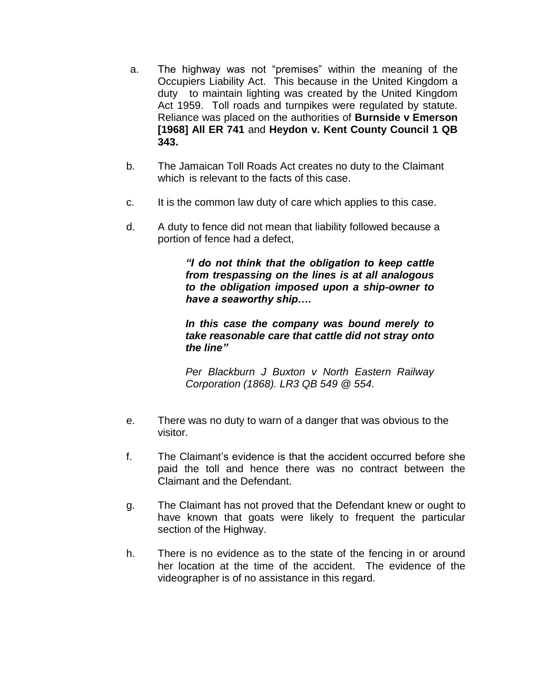- a. The highway was not "premises" within the meaning of the Occupiers Liability Act. This because in the United Kingdom a duty to maintain lighting was created by the United Kingdom Act 1959. Toll roads and turnpikes were regulated by statute. Reliance was placed on the authorities of **Burnside v Emerson [1968] All ER 741** and **Heydon v. Kent County Council 1 QB 343.**
- b. The Jamaican Toll Roads Act creates no duty to the Claimant which is relevant to the facts of this case.
- c. It is the common law duty of care which applies to this case.
- d. A duty to fence did not mean that liability followed because a portion of fence had a defect,

*"I do not think that the obligation to keep cattle from trespassing on the lines is at all analogous to the obligation imposed upon a ship-owner to have a seaworthy ship….*

*In this case the company was bound merely to take reasonable care that cattle did not stray onto the line"*

*Per Blackburn J Buxton v North Eastern Railway Corporation (1868). LR3 QB 549 @ 554.*

- e. There was no duty to warn of a danger that was obvious to the visitor.
- f. The Claimant's evidence is that the accident occurred before she paid the toll and hence there was no contract between the Claimant and the Defendant.
- g. The Claimant has not proved that the Defendant knew or ought to have known that goats were likely to frequent the particular section of the Highway.
- h. There is no evidence as to the state of the fencing in or around her location at the time of the accident. The evidence of the videographer is of no assistance in this regard.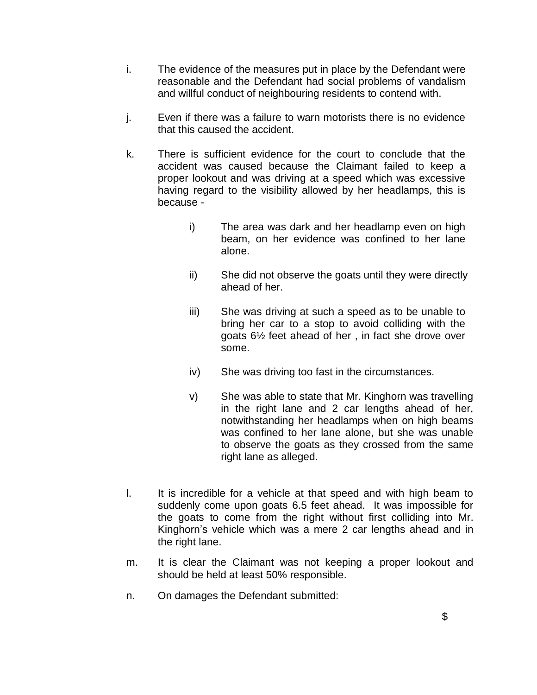- i. The evidence of the measures put in place by the Defendant were reasonable and the Defendant had social problems of vandalism and willful conduct of neighbouring residents to contend with.
- j. Even if there was a failure to warn motorists there is no evidence that this caused the accident.
- k. There is sufficient evidence for the court to conclude that the accident was caused because the Claimant failed to keep a proper lookout and was driving at a speed which was excessive having regard to the visibility allowed by her headlamps, this is because
	- i) The area was dark and her headlamp even on high beam, on her evidence was confined to her lane alone.
	- ii) She did not observe the goats until they were directly ahead of her.
	- iii) She was driving at such a speed as to be unable to bring her car to a stop to avoid colliding with the goats 6½ feet ahead of her , in fact she drove over some.
	- iv) She was driving too fast in the circumstances.
	- v) She was able to state that Mr. Kinghorn was travelling in the right lane and 2 car lengths ahead of her, notwithstanding her headlamps when on high beams was confined to her lane alone, but she was unable to observe the goats as they crossed from the same right lane as alleged.
- l. It is incredible for a vehicle at that speed and with high beam to suddenly come upon goats 6.5 feet ahead. It was impossible for the goats to come from the right without first colliding into Mr. Kinghorn's vehicle which was a mere 2 car lengths ahead and in the right lane.
- m. It is clear the Claimant was not keeping a proper lookout and should be held at least 50% responsible.
- n. On damages the Defendant submitted: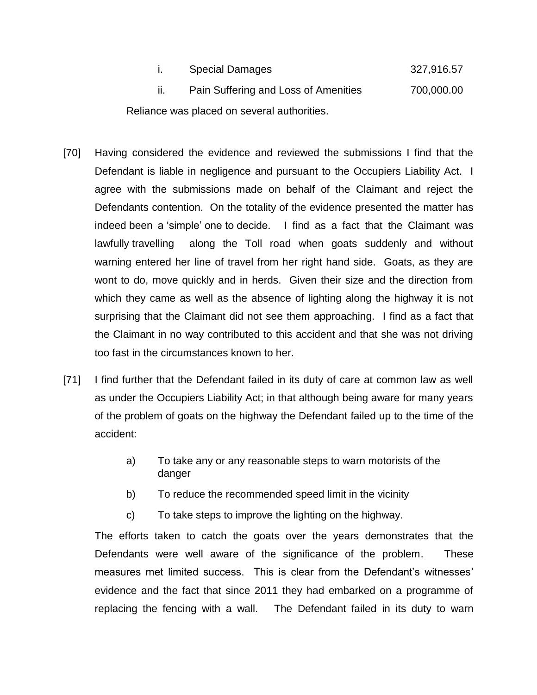|                                             | <b>Special Damages</b>               | 327,916.57 |  |
|---------------------------------------------|--------------------------------------|------------|--|
|                                             | Pain Suffering and Loss of Amenities | 700,000.00 |  |
| Reliance was placed on several authorities. |                                      |            |  |

- [70] Having considered the evidence and reviewed the submissions I find that the Defendant is liable in negligence and pursuant to the Occupiers Liability Act. I agree with the submissions made on behalf of the Claimant and reject the Defendants contention. On the totality of the evidence presented the matter has indeed been a 'simple' one to decide. I find as a fact that the Claimant was lawfully travelling along the Toll road when goats suddenly and without warning entered her line of travel from her right hand side. Goats, as they are wont to do, move quickly and in herds. Given their size and the direction from which they came as well as the absence of lighting along the highway it is not surprising that the Claimant did not see them approaching. I find as a fact that the Claimant in no way contributed to this accident and that she was not driving too fast in the circumstances known to her.
- [71] I find further that the Defendant failed in its duty of care at common law as well as under the Occupiers Liability Act; in that although being aware for many years of the problem of goats on the highway the Defendant failed up to the time of the accident:
	- a) To take any or any reasonable steps to warn motorists of the danger
	- b) To reduce the recommended speed limit in the vicinity
	- c) To take steps to improve the lighting on the highway.

The efforts taken to catch the goats over the years demonstrates that the Defendants were well aware of the significance of the problem. These measures met limited success. This is clear from the Defendant's witnesses' evidence and the fact that since 2011 they had embarked on a programme of replacing the fencing with a wall. The Defendant failed in its duty to warn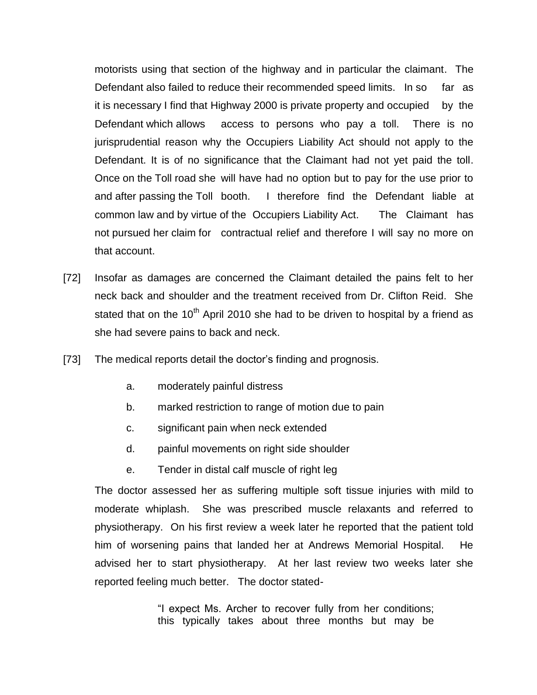motorists using that section of the highway and in particular the claimant. The Defendant also failed to reduce their recommended speed limits. In so far as it is necessary I find that Highway 2000 is private property and occupied by the Defendant which allows access to persons who pay a toll. There is no jurisprudential reason why the Occupiers Liability Act should not apply to the Defendant. It is of no significance that the Claimant had not yet paid the toll. Once on the Toll road she will have had no option but to pay for the use prior to and after passing the Toll booth. I therefore find the Defendant liable at common law and by virtue of the Occupiers Liability Act. The Claimant has not pursued her claim for contractual relief and therefore I will say no more on that account.

- [72] Insofar as damages are concerned the Claimant detailed the pains felt to her neck back and shoulder and the treatment received from Dr. Clifton Reid. She stated that on the  $10<sup>th</sup>$  April 2010 she had to be driven to hospital by a friend as she had severe pains to back and neck.
- [73] The medical reports detail the doctor's finding and prognosis.
	- a. moderately painful distress
	- b. marked restriction to range of motion due to pain
	- c. significant pain when neck extended
	- d. painful movements on right side shoulder
	- e. Tender in distal calf muscle of right leg

The doctor assessed her as suffering multiple soft tissue injuries with mild to moderate whiplash. She was prescribed muscle relaxants and referred to physiotherapy. On his first review a week later he reported that the patient told him of worsening pains that landed her at Andrews Memorial Hospital. He advised her to start physiotherapy. At her last review two weeks later she reported feeling much better. The doctor stated-

> "I expect Ms. Archer to recover fully from her conditions; this typically takes about three months but may be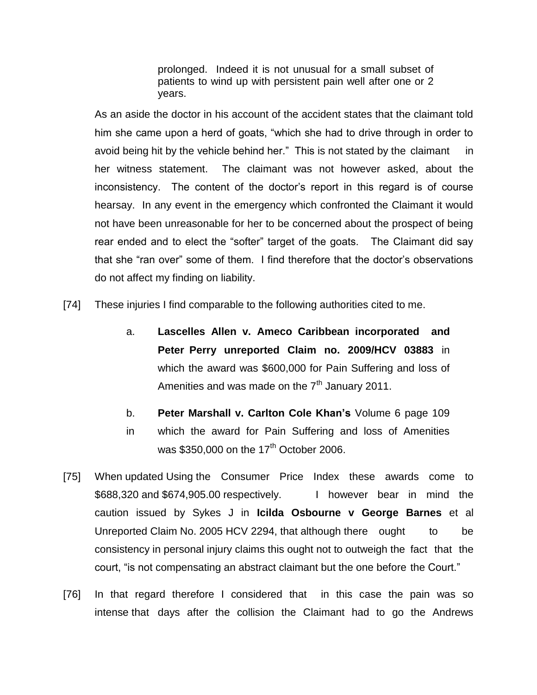prolonged. Indeed it is not unusual for a small subset of patients to wind up with persistent pain well after one or 2 years.

 As an aside the doctor in his account of the accident states that the claimant told him she came upon a herd of goats, "which she had to drive through in order to avoid being hit by the vehicle behind her." This is not stated by the claimant in her witness statement. The claimant was not however asked, about the inconsistency. The content of the doctor's report in this regard is of course hearsay. In any event in the emergency which confronted the Claimant it would not have been unreasonable for her to be concerned about the prospect of being rear ended and to elect the "softer" target of the goats. The Claimant did say that she "ran over" some of them. I find therefore that the doctor's observations do not affect my finding on liability.

- [74] These injuries I find comparable to the following authorities cited to me.
	- a. **Lascelles Allen v. Ameco Caribbean incorporated and Peter Perry unreported Claim no. 2009/HCV 03883** in which the award was \$600,000 for Pain Suffering and loss of Amenities and was made on the  $7<sup>th</sup>$  January 2011.
	- b. **Peter Marshall v. Carlton Cole Khan's** Volume 6 page 109 in which the award for Pain Suffering and loss of Amenities was  $$350,000$  on the 17<sup>th</sup> October 2006.
- [75] When updated Using the Consumer Price Index these awards come to \$688,320 and \$674,905.00 respectively. I however bear in mind the caution issued by Sykes J in **Icilda Osbourne v George Barnes** et al Unreported Claim No. 2005 HCV 2294, that although there ought to be consistency in personal injury claims this ought not to outweigh the fact that the court, "is not compensating an abstract claimant but the one before the Court."
- [76] In that regard therefore I considered that in this case the pain was so intense that days after the collision the Claimant had to go the Andrews